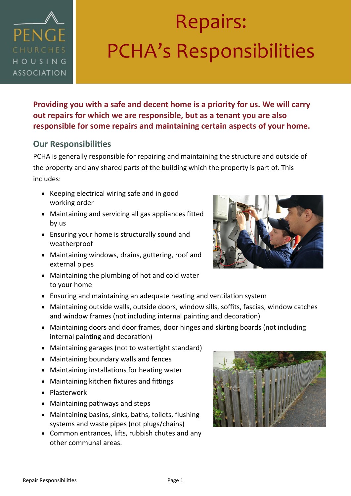

### Repairs: PCHA's Responsibilities

**Providing you with a safe and decent home is a priority for us. We will carry out repairs for which we are responsible, but as a tenant you are also responsible for some repairs and maintaining certain aspects of your home.** 

### **Our Responsibilities**

PCHA is generally responsible for repairing and maintaining the structure and outside of the property and any shared parts of the building which the property is part of. This includes:

- Keeping electrical wiring safe and in good working order
- Maintaining and servicing all gas appliances fitted by us
- Ensuring your home is structurally sound and weatherproof
- Maintaining windows, drains, guttering, roof and external pipes
- Maintaining the plumbing of hot and cold water to your home
- Ensuring and maintaining an adequate heating and ventilation system
- Maintaining outside walls, outside doors, window sills, soffits, fascias, window catches and window frames (not including internal painting and decoration)
- Maintaining doors and door frames, door hinges and skirting boards (not including internal painting and decoration)
- Maintaining garages (not to watertight standard)
- Maintaining boundary walls and fences
- Maintaining installations for heating water
- Maintaining kitchen fixtures and fittings
- Plasterwork
- Maintaining pathways and steps
- Maintaining basins, sinks, baths, toilets, flushing systems and waste pipes (not plugs/chains)
- Common entrances, lifts, rubbish chutes and any other communal areas.